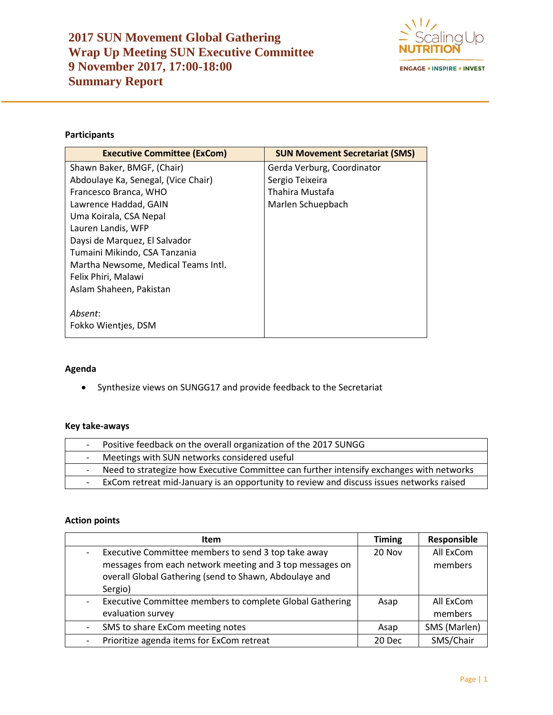

# **Participants**

| <b>Executive Committee (ExCom)</b>  | <b>SUN Movement Secretariat (SMS)</b> |
|-------------------------------------|---------------------------------------|
| Shawn Baker, BMGF, (Chair)          | Gerda Verburg, Coordinator            |
| Abdoulaye Ka, Senegal, (Vice Chair) | Sergio Teixeira                       |
| Francesco Branca, WHO               | Thahira Mustafa                       |
| Lawrence Haddad, GAIN               | Marlen Schuepbach                     |
| Uma Koirala, CSA Nepal              |                                       |
| Lauren Landis, WFP                  |                                       |
| Daysi de Marquez, El Salvador       |                                       |
| Tumaini Mikindo, CSA Tanzania       |                                       |
| Martha Newsome, Medical Teams Intl. |                                       |
| Felix Phiri, Malawi                 |                                       |
| Aslam Shaheen, Pakistan             |                                       |
|                                     |                                       |
| Absent:                             |                                       |
| Fokko Wientjes, DSM                 |                                       |

## **Agenda**

• Synthesize views on SUNGG17 and provide feedback to the Secretariat

#### **Key take-aways**

| Positive feedback on the overall organization of the 2017 SUNGG                          |
|------------------------------------------------------------------------------------------|
| Meetings with SUN networks considered useful                                             |
| Need to strategize how Executive Committee can further intensify exchanges with networks |
| ExCom retreat mid-January is an opportunity to review and discuss issues networks raised |

## **Action points**

| Item                                                     | <b>Timing</b> | Responsible  |
|----------------------------------------------------------|---------------|--------------|
| Executive Committee members to send 3 top take away      | 20 Nov        | All ExCom    |
| messages from each network meeting and 3 top messages on |               | members      |
| overall Global Gathering (send to Shawn, Abdoulaye and   |               |              |
| Sergio)                                                  |               |              |
| Executive Committee members to complete Global Gathering | Asap          | All ExCom    |
| evaluation survey                                        |               | members      |
| SMS to share ExCom meeting notes                         | Asap          | SMS (Marlen) |
| Prioritize agenda items for ExCom retreat                | 20 Dec        | SMS/Chair    |